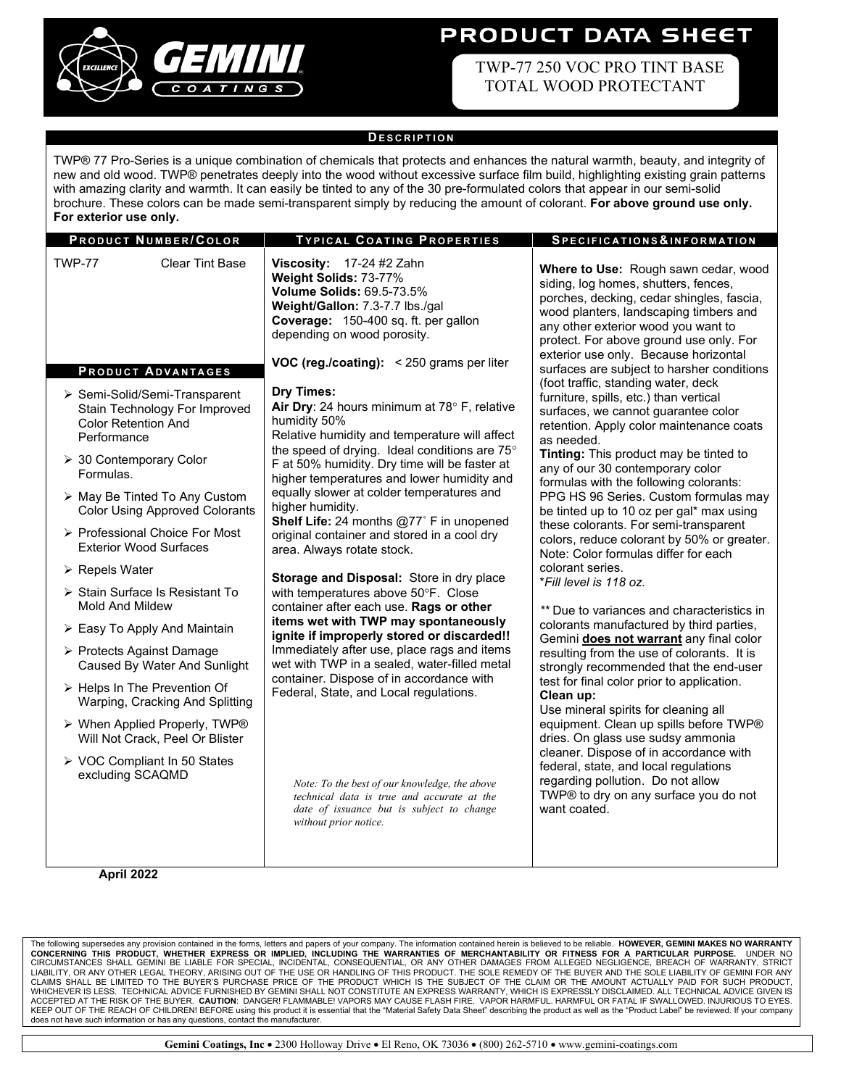

# **PRODUCT DATA SHEET**

 TWP-77 250 VOC PRO TINT BASE TOTAL WOOD PROTECTANT

#### **D ESCRIPTION**

TWP® 77 Pro-Series is a unique combination of chemicals that protects and enhances the natural warmth, beauty, and integrity of new and old wood. TWP® penetrates deeply into the wood without excessive surface film build, highlighting existing grain patterns with amazing clarity and warmth. It can easily be tinted to any of the 30 pre-formulated colors that appear in our semi-solid brochure. These colors can be made semi-transparent simply by reducing the amount of colorant. **For above ground use only. For exterior use only.**

| <b>PRODUCT NUMBER/COLOR</b>                                                                                                                                                                                                                                                                                                                                                                                                                                                                                                                                                                                                                                                            | <b>TYPICAL COATING PROPERTIES</b>                                                                                                                                                                                                                                                                                                                                                                                                                                                                                                                                                                                                                                                                                                                                                                                                                                                                                                                                                                                                 | SPECIFICATIONS&INFORMATION                                                                                                                                                                                                                                                                                                                                                                                                                                                                                                                                                                                                                                                                                                                                                                                                                                                                                                                                                                                                                                                                                                                                               |
|----------------------------------------------------------------------------------------------------------------------------------------------------------------------------------------------------------------------------------------------------------------------------------------------------------------------------------------------------------------------------------------------------------------------------------------------------------------------------------------------------------------------------------------------------------------------------------------------------------------------------------------------------------------------------------------|-----------------------------------------------------------------------------------------------------------------------------------------------------------------------------------------------------------------------------------------------------------------------------------------------------------------------------------------------------------------------------------------------------------------------------------------------------------------------------------------------------------------------------------------------------------------------------------------------------------------------------------------------------------------------------------------------------------------------------------------------------------------------------------------------------------------------------------------------------------------------------------------------------------------------------------------------------------------------------------------------------------------------------------|--------------------------------------------------------------------------------------------------------------------------------------------------------------------------------------------------------------------------------------------------------------------------------------------------------------------------------------------------------------------------------------------------------------------------------------------------------------------------------------------------------------------------------------------------------------------------------------------------------------------------------------------------------------------------------------------------------------------------------------------------------------------------------------------------------------------------------------------------------------------------------------------------------------------------------------------------------------------------------------------------------------------------------------------------------------------------------------------------------------------------------------------------------------------------|
| <b>TWP-77</b><br><b>Clear Tint Base</b><br><b>PRODUCT ADVANTAGES</b>                                                                                                                                                                                                                                                                                                                                                                                                                                                                                                                                                                                                                   | Viscosity: $17-24$ #2 Zahn<br>Weight Solids: 73-77%<br><b>Volume Solids: 69.5-73.5%</b><br>Weight/Gallon: 7.3-7.7 lbs./gal<br>Coverage: 150-400 sq. ft. per gallon<br>depending on wood porosity.<br><b>VOC (reg./coating):</b> $\leq$ 250 grams per liter                                                                                                                                                                                                                                                                                                                                                                                                                                                                                                                                                                                                                                                                                                                                                                        | Where to Use: Rough sawn cedar, wood<br>siding, log homes, shutters, fences,<br>porches, decking, cedar shingles, fascia,<br>wood planters, landscaping timbers and<br>any other exterior wood you want to<br>protect. For above ground use only. For<br>exterior use only. Because horizontal<br>surfaces are subject to harsher conditions                                                                                                                                                                                                                                                                                                                                                                                                                                                                                                                                                                                                                                                                                                                                                                                                                             |
| ▶ Semi-Solid/Semi-Transparent<br>Stain Technology For Improved<br><b>Color Retention And</b><br>Performance<br>> 30 Contemporary Color<br>Formulas.<br>> May Be Tinted To Any Custom<br><b>Color Using Approved Colorants</b><br>> Professional Choice For Most<br><b>Exterior Wood Surfaces</b><br>$\triangleright$ Repels Water<br>> Stain Surface Is Resistant To<br><b>Mold And Mildew</b><br>▶ Easy To Apply And Maintain<br>▶ Protects Against Damage<br>Caused By Water And Sunlight<br>> Helps In The Prevention Of<br>Warping, Cracking And Splitting<br>> When Applied Properly, TWP®<br>Will Not Crack, Peel Or Blister<br>▶ VOC Compliant In 50 States<br>excluding SCAQMD | <b>Dry Times:</b><br>Air Dry: 24 hours minimum at 78° F, relative<br>humidity 50%<br>Relative humidity and temperature will affect<br>the speed of drying. Ideal conditions are 75°<br>F at 50% humidity. Dry time will be faster at<br>higher temperatures and lower humidity and<br>equally slower at colder temperatures and<br>higher humidity.<br>Shelf Life: 24 months @77° F in unopened<br>original container and stored in a cool dry<br>area. Always rotate stock.<br>Storage and Disposal: Store in dry place<br>with temperatures above 50°F. Close<br>container after each use. Rags or other<br>items wet with TWP may spontaneously<br>ignite if improperly stored or discarded!!<br>Immediately after use, place rags and items<br>wet with TWP in a sealed, water-filled metal<br>container. Dispose of in accordance with<br>Federal, State, and Local regulations.<br>Note: To the best of our knowledge, the above<br>technical data is true and accurate at the<br>date of issuance but is subject to change | (foot traffic, standing water, deck<br>furniture, spills, etc.) than vertical<br>surfaces, we cannot guarantee color<br>retention. Apply color maintenance coats<br>as needed.<br>Tinting: This product may be tinted to<br>any of our 30 contemporary color<br>formulas with the following colorants:<br>PPG HS 96 Series. Custom formulas may<br>be tinted up to 10 oz per gal* max using<br>these colorants. For semi-transparent<br>colors, reduce colorant by 50% or greater.<br>Note: Color formulas differ for each<br>colorant series.<br>*Fill level is 118 oz.<br>** Due to variances and characteristics in<br>colorants manufactured by third parties,<br>Gemini does not warrant any final color<br>resulting from the use of colorants. It is<br>strongly recommended that the end-user<br>test for final color prior to application.<br>Clean up:<br>Use mineral spirits for cleaning all<br>equipment. Clean up spills before TWP®<br>dries. On glass use sudsy ammonia<br>cleaner. Dispose of in accordance with<br>federal, state, and local regulations<br>regarding pollution. Do not allow<br>TWP® to dry on any surface you do not<br>want coated. |
| April 2022                                                                                                                                                                                                                                                                                                                                                                                                                                                                                                                                                                                                                                                                             | without prior notice.                                                                                                                                                                                                                                                                                                                                                                                                                                                                                                                                                                                                                                                                                                                                                                                                                                                                                                                                                                                                             |                                                                                                                                                                                                                                                                                                                                                                                                                                                                                                                                                                                                                                                                                                                                                                                                                                                                                                                                                                                                                                                                                                                                                                          |

The following supersedes any provision contained in the forms, letters and papers of your company. The information contained herein is believed to be reliable. HOWEVER, GEMINI MAKES NO WARRANTY<br>CONCERNING THIS PRODUCT, WHE KEEP OUT OF THE REACH OF CHILDREN! BEFORE using this product it is essential that the "Material Safety Data Sheet" describing the product as well as the "Product Label" be reviewed. If your company<br>does not have such infor such information or has any questions